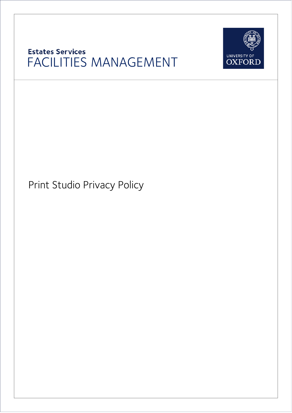## **Estates Services** FACILITIES MANAGEMENT



Print Studio Privacy Policy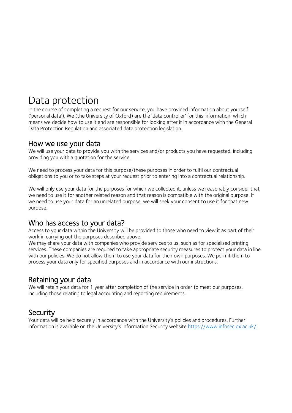# Data protection

In the course of completing a request for our service, you have provided information about yourself ('personal data'). We (the University of Oxford) are the 'data controller' for this information, which means we decide how to use it and are responsible for looking after it in accordance with the General Data Protection Regulation and associated data protection legislation.

#### How we use your data

We will use your data to provide you with the services and/or products you have requested, including providing you with a quotation for the service.

We need to process your data for this purpose/these purposes in order to fulfil our contractual obligations to you or to take steps at your request prior to entering into a contractual relationship.

We will only use your data for the purposes for which we collected it, unless we reasonably consider that we need to use it for another related reason and that reason is compatible with the original purpose. If we need to use your data for an unrelated purpose, we will seek your consent to use it for that new purpose.

#### Who has access to your data?

Access to your data within the University will be provided to those who need to view it as part of their work in carrying out the purposes described above.

We may share your data with companies who provide services to us, such as for specialised printing services. These companies are required to take appropriate security measures to protect your data in line with our policies. We do not allow them to use your data for their own purposes. We permit them to process your data only for specified purposes and in accordance with our instructions.

#### Retaining your data

We will retain your data for 1 year after completion of the service in order to meet our purposes, including those relating to legal accounting and reporting requirements.

#### **Security**

Your data will be held securely in accordance with the University's policies and procedures. Further information is available on the University's Information Security website https://www.infosec.ox.ac.uk/.